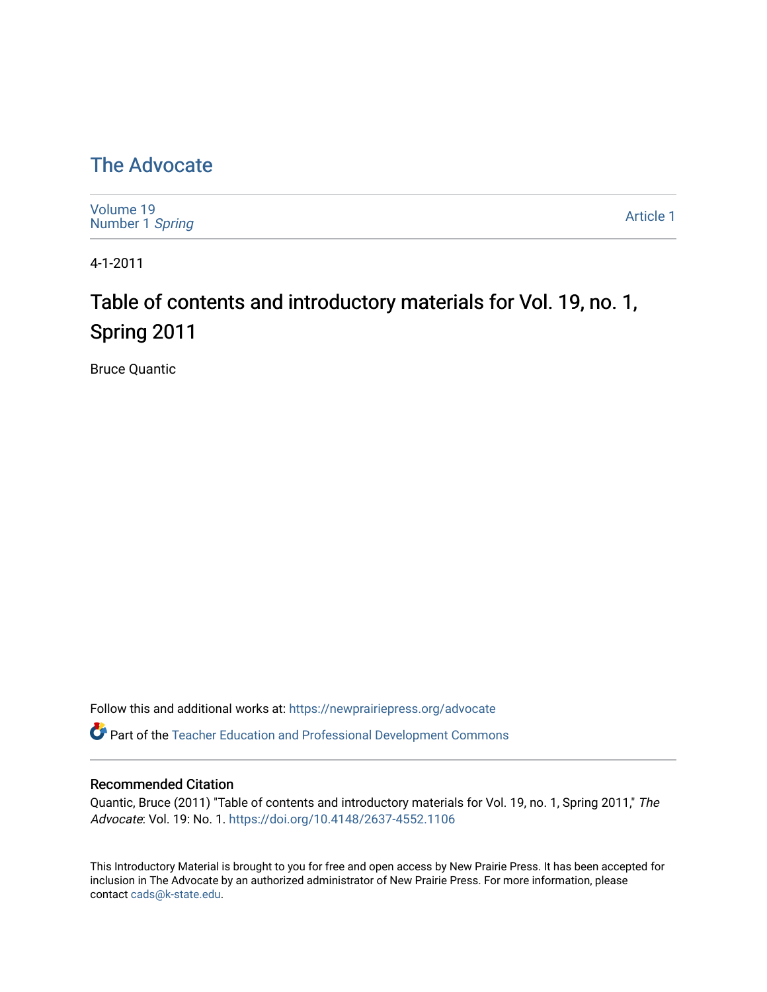## [The Advocate](https://newprairiepress.org/advocate)

[Volume 19](https://newprairiepress.org/advocate/vol19) [Number 1](https://newprairiepress.org/advocate/vol19/iss1) Spring

[Article 1](https://newprairiepress.org/advocate/vol19/iss1/1) 

4-1-2011

# Table of contents and introductory materials for Vol. 19, no. 1, Spring 2011

Bruce Quantic

Follow this and additional works at: [https://newprairiepress.org/advocate](https://newprairiepress.org/advocate?utm_source=newprairiepress.org%2Fadvocate%2Fvol19%2Fiss1%2F1&utm_medium=PDF&utm_campaign=PDFCoverPages) 

Part of the [Teacher Education and Professional Development Commons](http://network.bepress.com/hgg/discipline/803?utm_source=newprairiepress.org%2Fadvocate%2Fvol19%2Fiss1%2F1&utm_medium=PDF&utm_campaign=PDFCoverPages) 

#### Recommended Citation

Quantic, Bruce (2011) "Table of contents and introductory materials for Vol. 19, no. 1, Spring 2011," The Advocate: Vol. 19: No. 1. <https://doi.org/10.4148/2637-4552.1106>

This Introductory Material is brought to you for free and open access by New Prairie Press. It has been accepted for inclusion in The Advocate by an authorized administrator of New Prairie Press. For more information, please contact [cads@k-state.edu](mailto:cads@k-state.edu).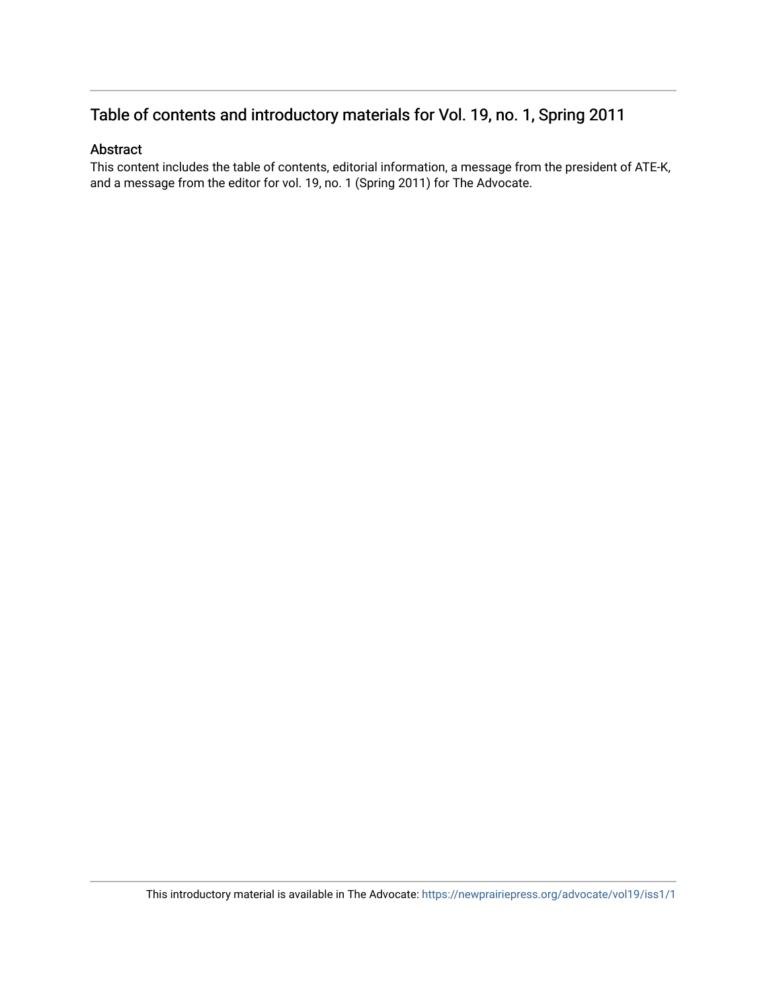## Table of contents and introductory materials for Vol. 19, no. 1, Spring 2011

#### Abstract

This content includes the table of contents, editorial information, a message from the president of ATE-K, and a message from the editor for vol. 19, no. 1 (Spring 2011) for The Advocate.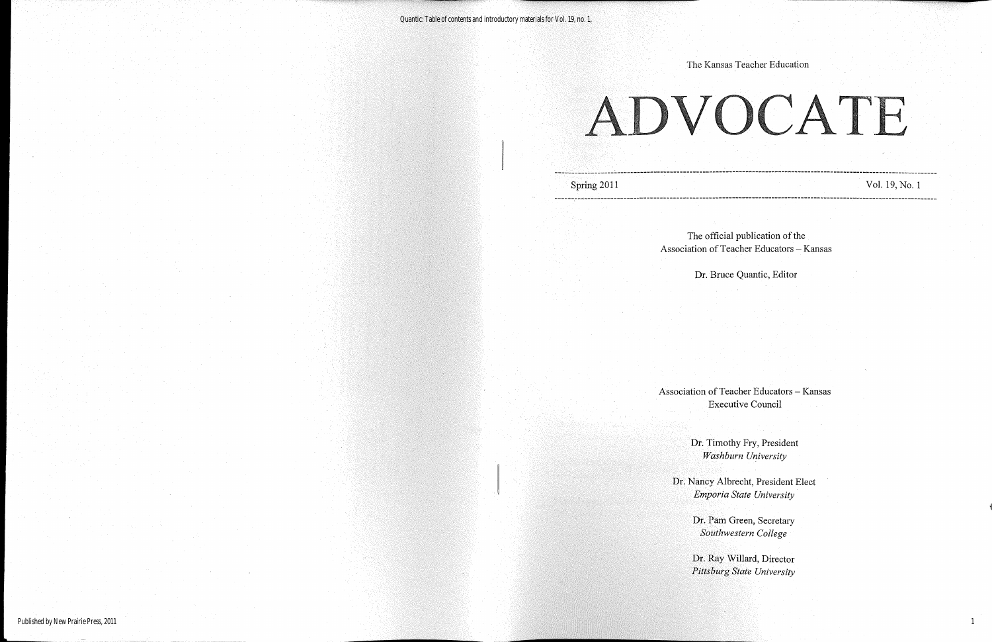Vol. 19, No.1

Dr. Ray Willard, Director *Pittsburg State University* 

The official publication of the Association of Teacher Educators - Kansas

> Dr. Pam Green, Secretary *Southwestern College*

Dr. Timothy Fry, President *Washburn University*

Dr. Bruce Quantic, Editor

The Kansas Teacher Education

Dr. Nancy Albrecht, President Elect *Emporia State University*

Association of Teacher Educators - Kansas Executive Council

Spring 2011 **---------------------------------------------------------------------------------------------------------------------** ------------------------------------------------------ ---------------------------------------------~-------- ---------

1

ADVOCATE